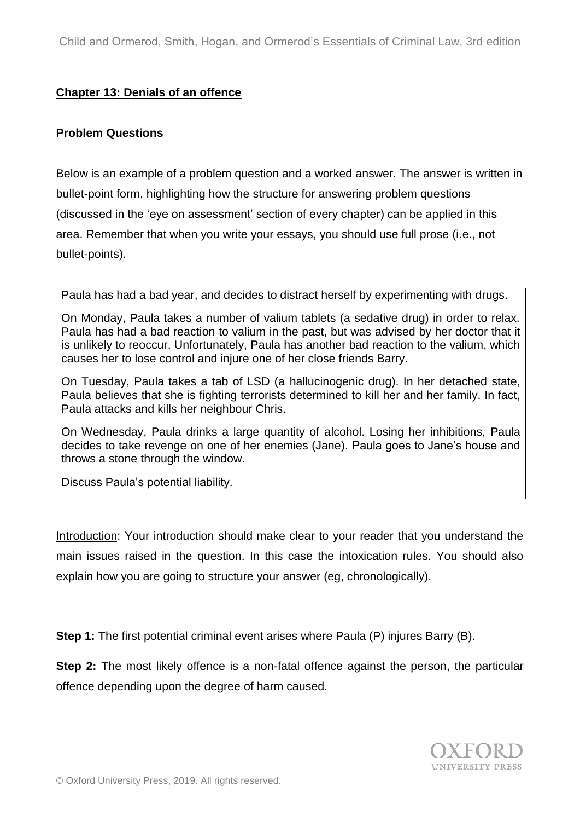# **Chapter 13: Denials of an offence**

## **Problem Questions**

Below is an example of a problem question and a worked answer. The answer is written in bullet-point form, highlighting how the structure for answering problem questions (discussed in the 'eye on assessment' section of every chapter) can be applied in this area. Remember that when you write your essays, you should use full prose (i.e., not bullet-points).

Paula has had a bad year, and decides to distract herself by experimenting with drugs.

On Monday, Paula takes a number of valium tablets (a sedative drug) in order to relax. Paula has had a bad reaction to valium in the past, but was advised by her doctor that it is unlikely to reoccur. Unfortunately, Paula has another bad reaction to the valium, which causes her to lose control and injure one of her close friends Barry.

On Tuesday, Paula takes a tab of LSD (a hallucinogenic drug). In her detached state, Paula believes that she is fighting terrorists determined to kill her and her family. In fact, Paula attacks and kills her neighbour Chris.

On Wednesday, Paula drinks a large quantity of alcohol. Losing her inhibitions, Paula decides to take revenge on one of her enemies (Jane). Paula goes to Jane's house and throws a stone through the window.

Discuss Paula's potential liability.

Introduction: Your introduction should make clear to your reader that you understand the main issues raised in the question. In this case the intoxication rules. You should also explain how you are going to structure your answer (eg, chronologically).

**Step 1:** The first potential criminal event arises where Paula (P) injures Barry (B).

**Step 2:** The most likely offence is a non-fatal offence against the person, the particular offence depending upon the degree of harm caused.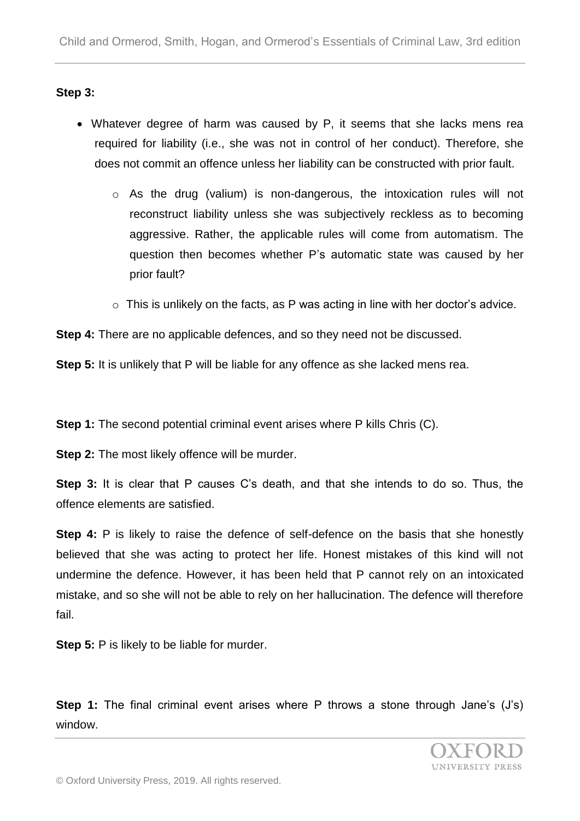**Step 3:** 

- Whatever degree of harm was caused by P, it seems that she lacks mens rea required for liability (i.e., she was not in control of her conduct). Therefore, she does not commit an offence unless her liability can be constructed with prior fault.
	- $\circ$  As the drug (valium) is non-dangerous, the intoxication rules will not reconstruct liability unless she was subjectively reckless as to becoming aggressive. Rather, the applicable rules will come from automatism. The question then becomes whether P's automatic state was caused by her prior fault?
	- $\circ$  This is unlikely on the facts, as P was acting in line with her doctor's advice.

**Step 4:** There are no applicable defences, and so they need not be discussed.

**Step 5:** It is unlikely that P will be liable for any offence as she lacked mens rea.

**Step 1:** The second potential criminal event arises where P kills Chris (C).

**Step 2:** The most likely offence will be murder.

**Step 3:** It is clear that P causes C's death, and that she intends to do so. Thus, the offence elements are satisfied.

**Step 4:** P is likely to raise the defence of self-defence on the basis that she honestly believed that she was acting to protect her life. Honest mistakes of this kind will not undermine the defence. However, it has been held that P cannot rely on an intoxicated mistake, and so she will not be able to rely on her hallucination. The defence will therefore fail.

**Step 5:** P is likely to be liable for murder.

**Step 1:** The final criminal event arises where P throws a stone through Jane's (J's) window.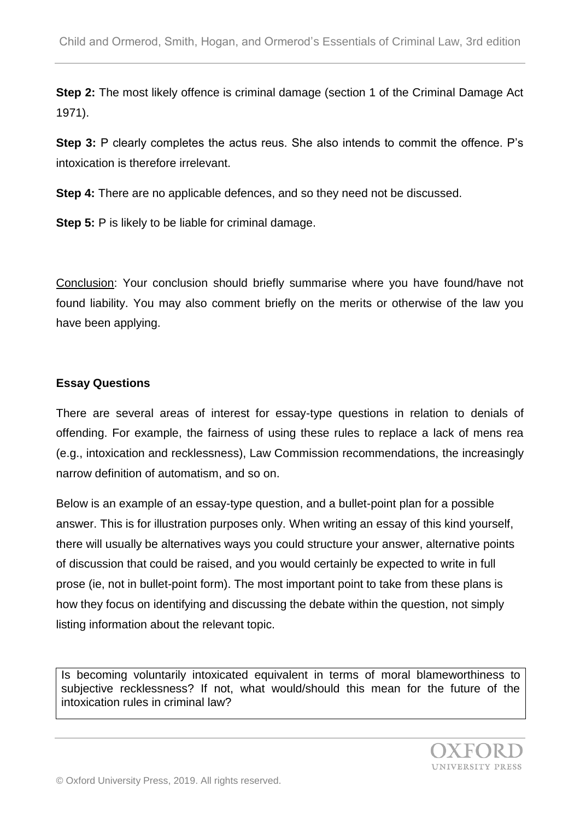**Step 2:** The most likely offence is criminal damage (section 1 of the Criminal Damage Act 1971).

**Step 3:** P clearly completes the actus reus. She also intends to commit the offence. P's intoxication is therefore irrelevant.

**Step 4:** There are no applicable defences, and so they need not be discussed.

**Step 5:** P is likely to be liable for criminal damage.

Conclusion: Your conclusion should briefly summarise where you have found/have not found liability. You may also comment briefly on the merits or otherwise of the law you have been applying.

#### **Essay Questions**

There are several areas of interest for essay-type questions in relation to denials of offending. For example, the fairness of using these rules to replace a lack of mens rea (e.g., intoxication and recklessness), Law Commission recommendations, the increasingly narrow definition of automatism, and so on.

Below is an example of an essay-type question, and a bullet-point plan for a possible answer. This is for illustration purposes only. When writing an essay of this kind yourself, there will usually be alternatives ways you could structure your answer, alternative points of discussion that could be raised, and you would certainly be expected to write in full prose (ie, not in bullet-point form). The most important point to take from these plans is how they focus on identifying and discussing the debate within the question, not simply listing information about the relevant topic.

Is becoming voluntarily intoxicated equivalent in terms of moral blameworthiness to subjective recklessness? If not, what would/should this mean for the future of the intoxication rules in criminal law?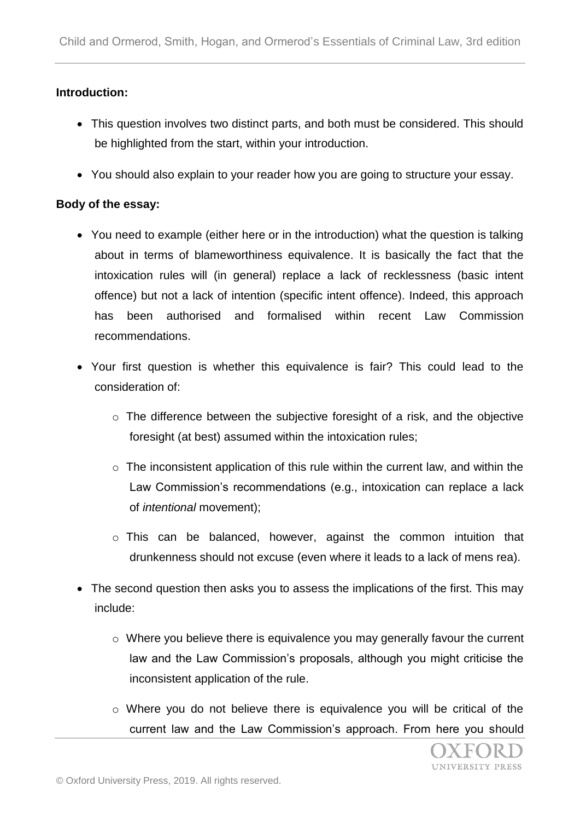## **Introduction:**

- This question involves two distinct parts, and both must be considered. This should be highlighted from the start, within your introduction.
- You should also explain to your reader how you are going to structure your essay.

## **Body of the essay:**

- You need to example (either here or in the introduction) what the question is talking about in terms of blameworthiness equivalence. It is basically the fact that the intoxication rules will (in general) replace a lack of recklessness (basic intent offence) but not a lack of intention (specific intent offence). Indeed, this approach has been authorised and formalised within recent Law Commission recommendations.
- Your first question is whether this equivalence is fair? This could lead to the consideration of:
	- o The difference between the subjective foresight of a risk, and the objective foresight (at best) assumed within the intoxication rules;
	- $\circ$  The inconsistent application of this rule within the current law, and within the Law Commission's recommendations (e.g., intoxication can replace a lack of *intentional* movement);
	- o This can be balanced, however, against the common intuition that drunkenness should not excuse (even where it leads to a lack of mens rea).
- The second question then asks you to assess the implications of the first. This may include:
	- o Where you believe there is equivalence you may generally favour the current law and the Law Commission's proposals, although you might criticise the inconsistent application of the rule.
	- o Where you do not believe there is equivalence you will be critical of the current law and the Law Commission's approach. From here you should